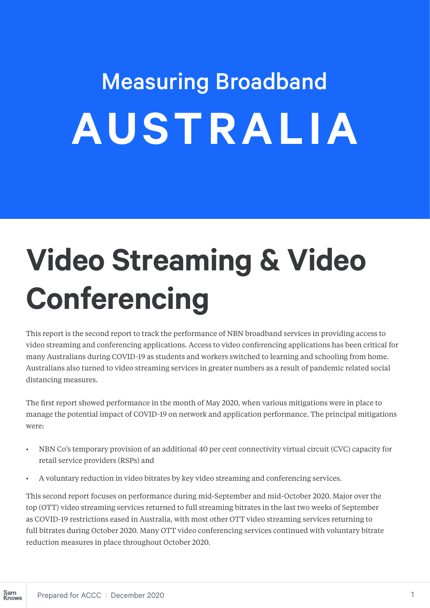# Measuring Broadband **AUSTRALIA**

# **Video Streaming & Video Conferencing**

This report is the second report to track the performance of NBN broadband services in providing access to video streaming and conferencing applications. Access to video conferencing applications has been critical for many Australians during COVID-19 as students and workers switched to learning and schooling from home. Australians also turned to video streaming services in greater numbers as a result of pandemic related social distancing measures.

The first report showed performance in the month of May 2020, when various mitigations were in place to manage the potential impact of COVID-19 on network and application performance. The principal mitigations were:

- NBN Co's temporary provision of an additional 40 per cent connectivity virtual circuit (CVC) capacity for retail service providers (RSPs) and
- A voluntary reduction in video bitrates by key video streaming and conferencing services.

This second report focuses on performance during mid-September and mid-October 2020. Major over the top (OTT) video streaming services returned to full streaming bitrates in the last two weeks of September as COVID-19 restrictions eased in Australia, with most other OTT video streaming services returning to full bitrates during October 2020. Many OTT video conferencing services continued with voluntary bitrate reduction measures in place throughout October 2020.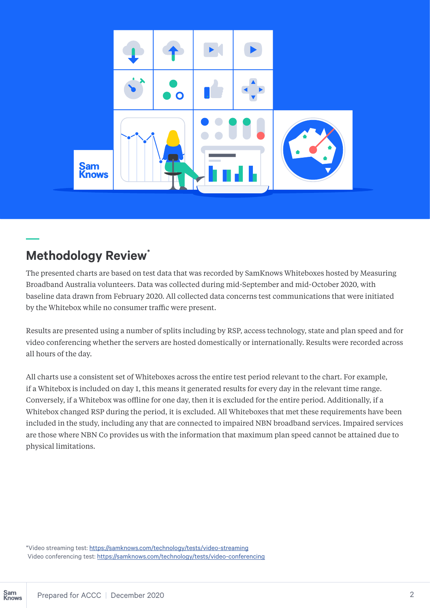

## **Methodology Review\***

The presented charts are based on test data that was recorded by SamKnows Whiteboxes hosted by Measuring Broadband Australia volunteers. Data was collected during mid-September and mid-October 2020, with baseline data drawn from February 2020. All collected data concerns test communications that were initiated by the Whitebox while no consumer traffic were present.

Results are presented using a number of splits including by RSP, access technology, state and plan speed and for video conferencing whether the servers are hosted domestically or internationally. Results were recorded across all hours of the day.

All charts use a consistent set of Whiteboxes across the entire test period relevant to the chart. For example, if a Whitebox is included on day 1, this means it generated results for every day in the relevant time range. Conversely, if a Whitebox was offline for one day, then it is excluded for the entire period. Additionally, if a Whitebox changed RSP during the period, it is excluded. All Whiteboxes that met these requirements have been included in the study, including any that are connected to impaired NBN broadband services. Impaired services are those where NBN Co provides us with the information that maximum plan speed cannot be attained due to physical limitations.

\*Video streaming test: https://samknows.com/technology/tests/video-streaming Video conferencing test: https://samknows.com/technology/tests/video-conferencing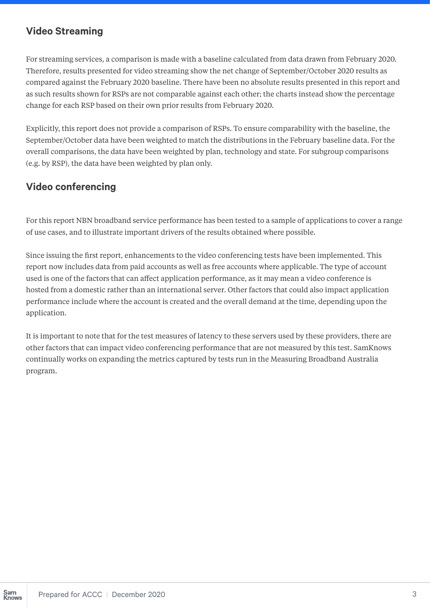#### **Video Streaming**

For streaming services, a comparison is made with a baseline calculated from data drawn from February 2020. Therefore, results presented for video streaming show the net change of September/October 2020 results as compared against the February 2020 baseline. There have been no absolute results presented in this report and as such results shown for RSPs are not comparable against each other; the charts instead show the percentage change for each RSP based on their own prior results from February 2020.

Explicitly, this report does not provide a comparison of RSPs. To ensure comparability with the baseline, the September/October data have been weighted to match the distributions in the February baseline data. For the overall comparisons, the data have been weighted by plan, technology and state. For subgroup comparisons (e.g. by RSP), the data have been weighted by plan only.

### **Video conferencing**

For this report NBN broadband service performance has been tested to a sample of applications to cover a range of use cases, and to illustrate important drivers of the results obtained where possible.

Since issuing the first report, enhancements to the video conferencing tests have been implemented. This report now includes data from paid accounts as well as free accounts where applicable. The type of account used is one of the factors that can affect application performance, as it may mean a video conference is hosted from a domestic rather than an international server. Other factors that could also impact application performance include where the account is created and the overall demand at the time, depending upon the application.

It is important to note that for the test measures of latency to these servers used by these providers, there are other factors that can impact video conferencing performance that are not measured by this test. SamKnows continually works on expanding the metrics captured by tests run in the Measuring Broadband Australia program.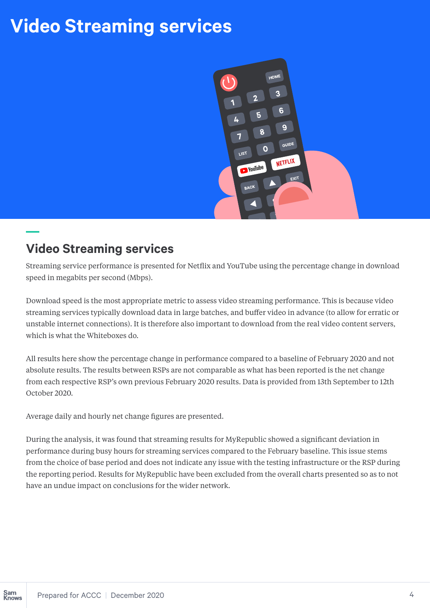## **Video Streaming services**



## **Video Streaming services**

Streaming service performance is presented for Netflix and YouTube using the percentage change in download speed in megabits per second (Mbps).

Download speed is the most appropriate metric to assess video streaming performance. This is because video streaming services typically download data in large batches, and buffer video in advance (to allow for erratic or unstable internet connections). It is therefore also important to download from the real video content servers, which is what the Whiteboxes do.

All results here show the percentage change in performance compared to a baseline of February 2020 and not absolute results. The results between RSPs are not comparable as what has been reported is the net change from each respective RSP's own previous February 2020 results. Data is provided from 13th September to 12th October 2020.

Average daily and hourly net change figures are presented.

During the analysis, it was found that streaming results for MyRepublic showed a significant deviation in performance during busy hours for streaming services compared to the February baseline. This issue stems from the choice of base period and does not indicate any issue with the testing infrastructure or the RSP during the reporting period. Results for MyRepublic have been excluded from the overall charts presented so as to not have an undue impact on conclusions for the wider network.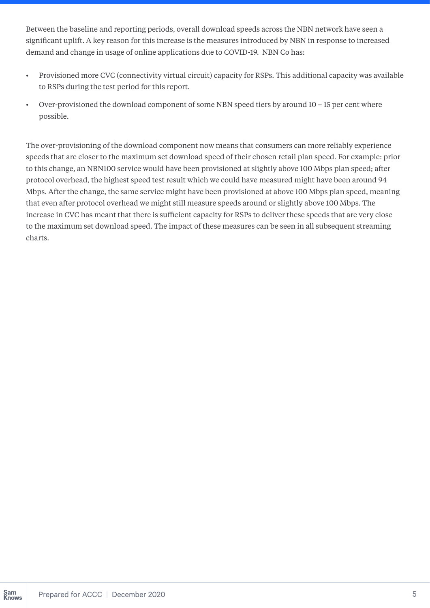Between the baseline and reporting periods, overall download speeds across the NBN network have seen a significant uplift. A key reason for this increase is the measures introduced by NBN in response to increased demand and change in usage of online applications due to COVID-19. NBN Co has:

- Provisioned more CVC (connectivity virtual circuit) capacity for RSPs. This additional capacity was available to RSPs during the test period for this report.
- Over-provisioned the download component of some NBN speed tiers by around 10 15 per cent where possible.

The over-provisioning of the download component now means that consumers can more reliably experience speeds that are closer to the maximum set download speed of their chosen retail plan speed. For example: prior to this change, an NBN100 service would have been provisioned at slightly above 100 Mbps plan speed; after protocol overhead, the highest speed test result which we could have measured might have been around 94 Mbps. After the change, the same service might have been provisioned at above 100 Mbps plan speed, meaning that even after protocol overhead we might still measure speeds around or slightly above 100 Mbps. The increase in CVC has meant that there is sufficient capacity for RSPs to deliver these speeds that are very close to the maximum set download speed. The impact of these measures can be seen in all subsequent streaming charts.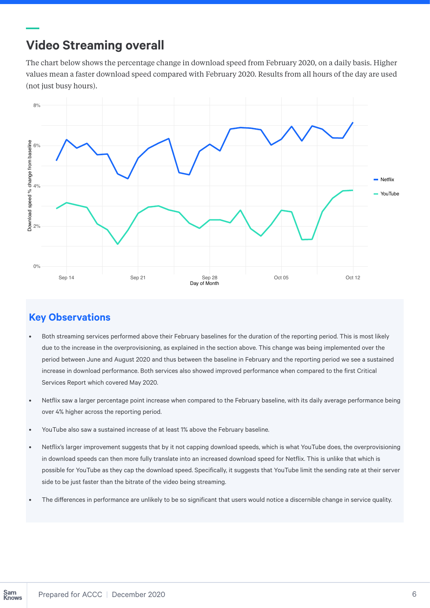## **Video Streaming overall**

The chart below shows the percentage change in download speed from February 2020, on a daily basis. Higher values mean a faster download speed compared with February 2020. Results from all hours of the day are used (not just busy hours).



- Both streaming services performed above their February baselines for the duration of the reporting period. This is most likely due to the increase in the overprovisioning, as explained in the section above. This change was being implemented over the period between June and August 2020 and thus between the baseline in February and the reporting period we see a sustained increase in download performance. Both services also showed improved performance when compared to the first Critical Services Report which covered May 2020.
- Netflix saw a larger percentage point increase when compared to the February baseline, with its daily average performance being over 4% higher across the reporting period.
- YouTube also saw a sustained increase of at least 1% above the February baseline.
- Netflix's larger improvement suggests that by it not capping download speeds, which is what YouTube does, the overprovisioning in download speeds can then more fully translate into an increased download speed for Netflix. This is unlike that which is possible for YouTube as they cap the download speed. Specifically, it suggests that YouTube limit the sending rate at their server side to be just faster than the bitrate of the video being streaming.
- The differences in performance are unlikely to be so significant that users would notice a discernible change in service quality.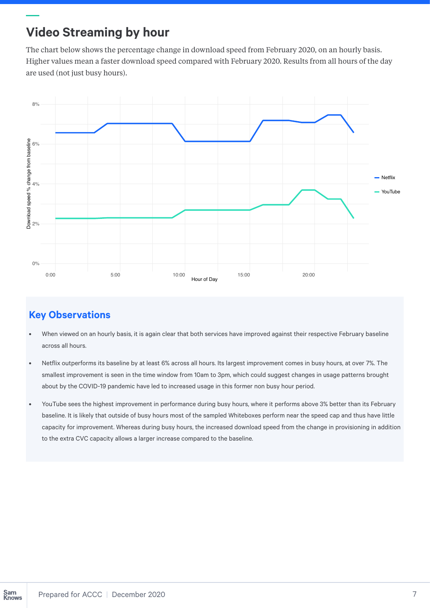## **Video Streaming by hour**

The chart below shows the percentage change in download speed from February 2020, on an hourly basis. Higher values mean a faster download speed compared with February 2020. Results from all hours of the day are used (not just busy hours).



- When viewed on an hourly basis, it is again clear that both services have improved against their respective February baseline across all hours.
- Netflix outperforms its baseline by at least 6% across all hours. Its largest improvement comes in busy hours, at over 7%. The smallest improvement is seen in the time window from 10am to 3pm, which could suggest changes in usage patterns brought about by the COVID-19 pandemic have led to increased usage in this former non busy hour period.
- YouTube sees the highest improvement in performance during busy hours, where it performs above 3% better than its February baseline. It is likely that outside of busy hours most of the sampled Whiteboxes perform near the speed cap and thus have little capacity for improvement. Whereas during busy hours, the increased download speed from the change in provisioning in addition to the extra CVC capacity allows a larger increase compared to the baseline.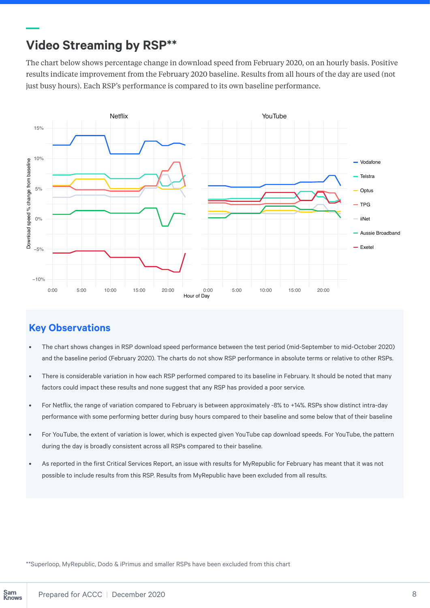## **Video Streaming by RSP\*\***

The chart below shows percentage change in download speed from February 2020, on an hourly basis. Positive results indicate improvement from the February 2020 baseline. Results from all hours of the day are used (not just busy hours). Each RSP's performance is compared to its own baseline performance.



#### **Key Observations**

- The chart shows changes in RSP download speed performance between the test period (mid-September to mid-October 2020) and the baseline period (February 2020). The charts do not show RSP performance in absolute terms or relative to other RSPs.
- There is considerable variation in how each RSP performed compared to its baseline in February. It should be noted that many factors could impact these results and none suggest that any RSP has provided a poor service.
- For Netflix, the range of variation compared to February is between approximately -8% to +14%. RSPs show distinct intra-day performance with some performing better during busy hours compared to their baseline and some below that of their baseline
- For YouTube, the extent of variation is lower, which is expected given YouTube cap download speeds. For YouTube, the pattern during the day is broadly consistent across all RSPs compared to their baseline.
- As reported in the first Critical Services Report, an issue with results for MyRepublic for February has meant that it was not possible to include results from this RSP. Results from MyRepublic have been excluded from all results.

\*\*Superloop, MyRepublic, Dodo & iPrimus and smaller RSPs have been excluded from this chart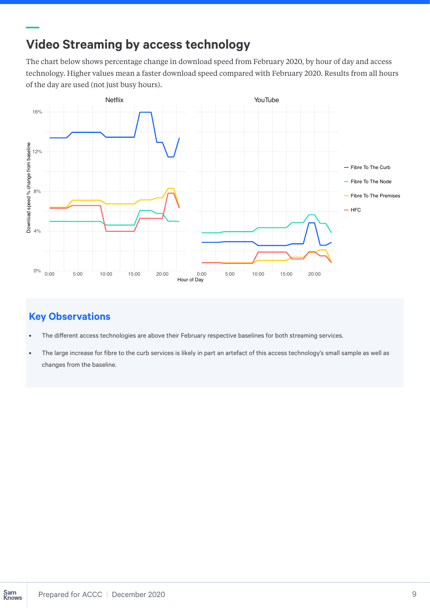## **Video Streaming by access technology**

The chart below shows percentage change in download speed from February 2020, by hour of day and access technology. Higher values mean a faster download speed compared with February 2020. Results from all hours of the day are used (not just busy hours).



- The different access technologies are above their February respective baselines for both streaming services.
- The large increase for fibre to the curb services is likely in part an artefact of this access technology's small sample as well as changes from the baseline.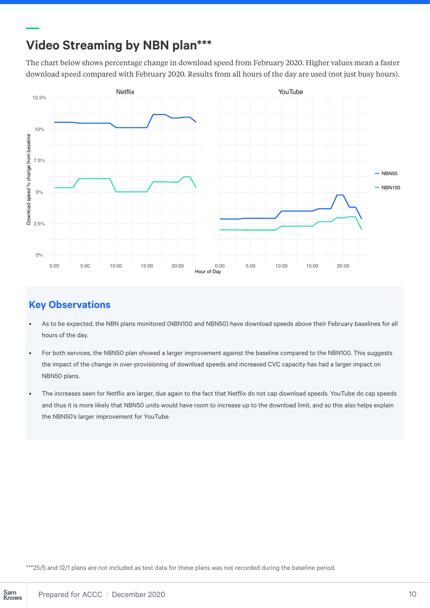## **Video Streaming by NBN plan\*\*\***

The chart below shows percentage change in download speed from February 2020. Higher values mean a faster download speed compared with February 2020. Results from all hours of the day are used (not just busy hours).



### **Key Observations**

- As to be expected, the NBN plans monitored (NBN100 and NBN50) have download speeds above their February baselines for all hours of the day.
- For both services, the NBN50 plan showed a larger improvement against the baseline compared to the NBN100. This suggests the impact of the change in over-provisioning of download speeds and increased CVC capacity has had a larger impact on NBN50 plans.
- The increases seen for Netflix are larger, due again to the fact that Netflix do not cap download speeds. YouTube do cap speeds and thus it is more likely that NBN50 units would have room to increase up to the download limit, and so this also helps explain the NBN50's larger improvement for YouTube.

\*\*\*25/5 and 12/1 plans are not included as test data for these plans was not recorded during the baseline period.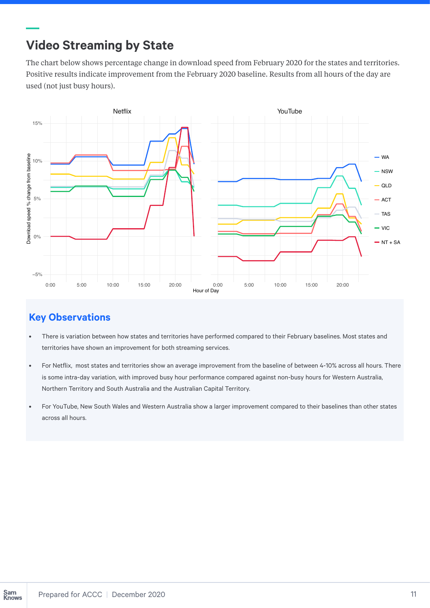## **Video Streaming by State**

The chart below shows percentage change in download speed from February 2020 for the states and territories. Positive results indicate improvement from the February 2020 baseline. Results from all hours of the day are used (not just busy hours).



- There is variation between how states and territories have performed compared to their February baselines. Most states and territories have shown an improvement for both streaming services.
- For Netflix, most states and territories show an average improvement from the baseline of between 4-10% across all hours. There is some intra-day variation, with improved busy hour performance compared against non-busy hours for Western Australia, Northern Territory and South Australia and the Australian Capital Territory.
- For YouTube, New South Wales and Western Australia show a larger improvement compared to their baselines than other states across all hours.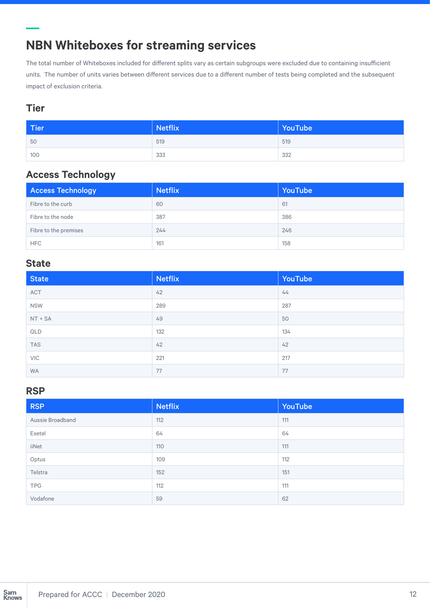## **NBN Whiteboxes for streaming services**

The total number of Whiteboxes included for different splits vary as certain subgroups were excluded due to containing insufficient units. The number of units varies between different services due to a different number of tests being completed and the subsequent impact of exclusion criteria.

#### **Tier**

| <b>Tier</b> | <b>Netflix</b> | YouTube |  |
|-------------|----------------|---------|--|
| 50          | 519            | 519     |  |
| 100         | 333            | 332     |  |

## **Access Technology**

| <b>Access Technology</b> | <b>Netflix</b> | YouTube |
|--------------------------|----------------|---------|
| Fibre to the curb        | 60             | 61      |
| Fibre to the node        | 387            | 386     |
| Fibre to the premises    | 244            | 246     |
| <b>HFC</b>               | 161            | 158     |

#### **State**

| <b>State</b> | <b>Netflix</b> | YouTube |
|--------------|----------------|---------|
| ACT          | 42             | 44      |
| <b>NSW</b>   | 289            | 287     |
| $NT + SA$    | 49             | 50      |
| QLD          | 132            | 134     |
| <b>TAS</b>   | 42             | 42      |
| <b>VIC</b>   | 221            | 217     |
| <b>WA</b>    | 77             | 77      |

#### **RSP**

| <b>RSP</b>       | <b>Netflix</b> | YouTube |  |
|------------------|----------------|---------|--|
| Aussie Broadband | 112            | 111     |  |
| Exetel           | 64             | 64      |  |
| iiNet            | 110            | 111     |  |
| Optus            | 109            | 112     |  |
| Telstra          | 152            | 151     |  |
| <b>TPG</b>       | 112            | 111     |  |
| Vodafone         | 59             | 62      |  |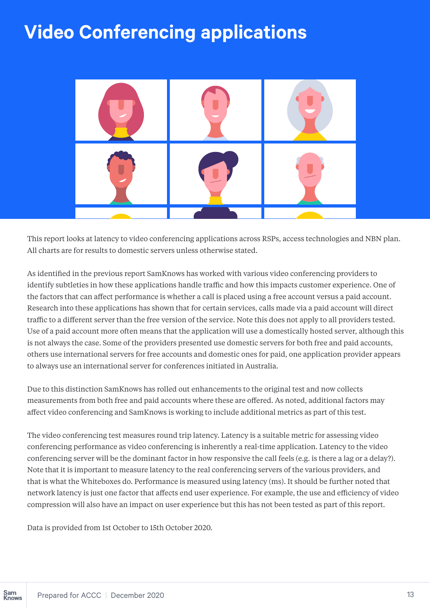## **Video Conferencing applications**



This report looks at latency to video conferencing applications across RSPs, access technologies and NBN plan. All charts are for results to domestic servers unless otherwise stated.

As identified in the previous report SamKnows has worked with various video conferencing providers to identify subtleties in how these applications handle traffic and how this impacts customer experience. One of the factors that can affect performance is whether a call is placed using a free account versus a paid account. Research into these applications has shown that for certain services, calls made via a paid account will direct traffic to a different server than the free version of the service. Note this does not apply to all providers tested. Use of a paid account more often means that the application will use a domestically hosted server, although this is not always the case. Some of the providers presented use domestic servers for both free and paid accounts, others use international servers for free accounts and domestic ones for paid, one application provider appears to always use an international server for conferences initiated in Australia.

Due to this distinction SamKnows has rolled out enhancements to the original test and now collects measurements from both free and paid accounts where these are offered. As noted, additional factors may affect video conferencing and SamKnows is working to include additional metrics as part of this test.

The video conferencing test measures round trip latency. Latency is a suitable metric for assessing video conferencing performance as video conferencing is inherently a real-time application. Latency to the video conferencing server will be the dominant factor in how responsive the call feels (e.g. is there a lag or a delay?). Note that it is important to measure latency to the real conferencing servers of the various providers, and that is what the Whiteboxes do. Performance is measured using latency (ms). It should be further noted that network latency is just one factor that affects end user experience. For example, the use and efficiency of video compression will also have an impact on user experience but this has not been tested as part of this report.

Data is provided from 1st October to 15th October 2020.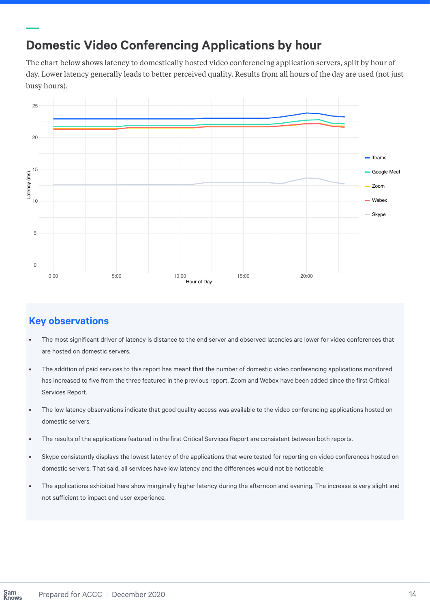## **Domestic Video Conferencing Applications by hour**

The chart below shows latency to domestically hosted video conferencing application servers, split by hour of day. Lower latency generally leads to better perceived quality. Results from all hours of the day are used (not just busy hours).



- The most significant driver of latency is distance to the end server and observed latencies are lower for video conferences that are hosted on domestic servers.
- The addition of paid services to this report has meant that the number of domestic video conferencing applications monitored has increased to five from the three featured in the previous report. Zoom and Webex have been added since the first Critical Services Report.
- The low latency observations indicate that good quality access was available to the video conferencing applications hosted on domestic servers.
- The results of the applications featured in the first Critical Services Report are consistent between both reports.
- Skype consistently displays the lowest latency of the applications that were tested for reporting on video conferences hosted on domestic servers. That said, all services have low latency and the differences would not be noticeable.
- The applications exhibited here show marginally higher latency during the afternoon and evening. The increase is very slight and not sufficient to impact end user experience.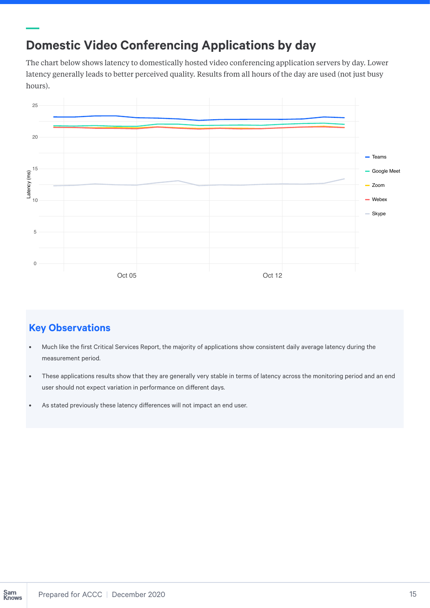## **Domestic Video Conferencing Applications by day**

The chart below shows latency to domestically hosted video conferencing application servers by day. Lower latency generally leads to better perceived quality. Results from all hours of the day are used (not just busy hours).



- Much like the first Critical Services Report, the majority of applications show consistent daily average latency during the measurement period.
- These applications results show that they are generally very stable in terms of latency across the monitoring period and an end user should not expect variation in performance on different days.
- As stated previously these latency differences will not impact an end user.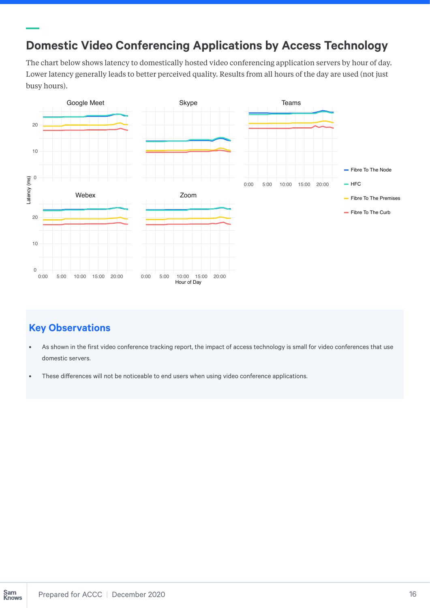## **Domestic Video Conferencing Applications by Access Technology**

The chart below shows latency to domestically hosted video conferencing application servers by hour of day. Lower latency generally leads to better perceived quality. Results from all hours of the day are used (not just busy hours).



- As shown in the first video conference tracking report, the impact of access technology is small for video conferences that use domestic servers.
- These differences will not be noticeable to end users when using video conference applications.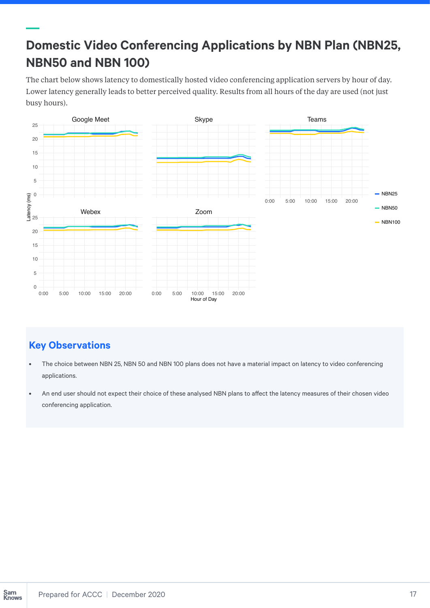## **Domestic Video Conferencing Applications by NBN Plan (NBN25, NBN50 and NBN 100)**

The chart below shows latency to domestically hosted video conferencing application servers by hour of day. Lower latency generally leads to better perceived quality. Results from all hours of the day are used (not just busy hours).



- The choice between NBN 25, NBN 50 and NBN 100 plans does not have a material impact on latency to video conferencing applications.
- An end user should not expect their choice of these analysed NBN plans to affect the latency measures of their chosen video conferencing application.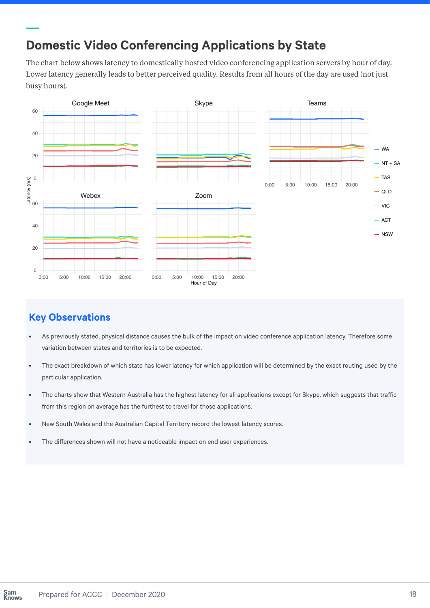## **Domestic Video Conferencing Applications by State**

The chart below shows latency to domestically hosted video conferencing application servers by hour of day. Lower latency generally leads to better perceived quality. Results from all hours of the day are used (not just busy hours).



- As previously stated, physical distance causes the bulk of the impact on video conference application latency. Therefore some variation between states and territories is to be expected.
- The exact breakdown of which state has lower latency for which application will be determined by the exact routing used by the particular application.
- The charts show that Western Australia has the highest latency for all applications except for Skype, which suggests that traffic from this region on average has the furthest to travel for those applications.
- New South Wales and the Australian Capital Territory record the lowest latency scores.
- The differences shown will not have a noticeable impact on end user experiences.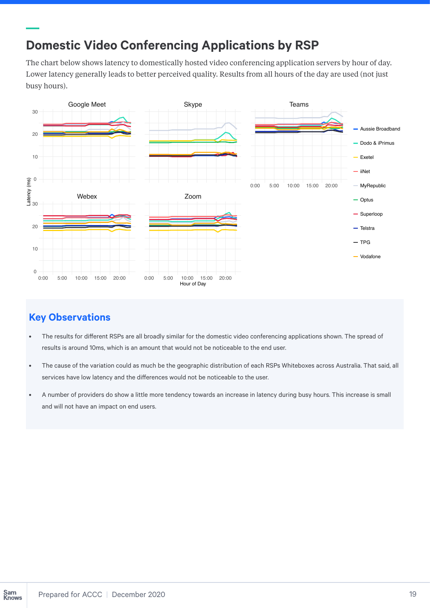## **Domestic Video Conferencing Applications by RSP**

The chart below shows latency to domestically hosted video conferencing application servers by hour of day. Lower latency generally leads to better perceived quality. Results from all hours of the day are used (not just busy hours).



- The results for different RSPs are all broadly similar for the domestic video conferencing applications shown. The spread of results is around 10ms, which is an amount that would not be noticeable to the end user.
- The cause of the variation could as much be the geographic distribution of each RSPs Whiteboxes across Australia. That said, all services have low latency and the differences would not be noticeable to the user.
- A number of providers do show a little more tendency towards an increase in latency during busy hours. This increase is small and will not have an impact on end users.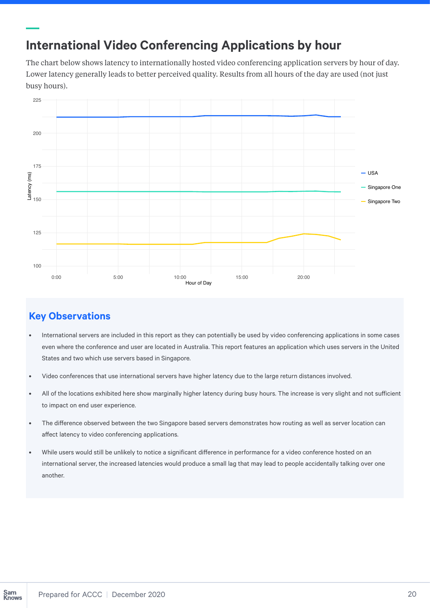## **International Video Conferencing Applications by hour**

The chart below shows latency to internationally hosted video conferencing application servers by hour of day. Lower latency generally leads to better perceived quality. Results from all hours of the day are used (not just busy hours).



- International servers are included in this report as they can potentially be used by video conferencing applications in some cases even where the conference and user are located in Australia. This report features an application which uses servers in the United States and two which use servers based in Singapore.
- Video conferences that use international servers have higher latency due to the large return distances involved.
- All of the locations exhibited here show marginally higher latency during busy hours. The increase is very slight and not sufficient to impact on end user experience.
- The difference observed between the two Singapore based servers demonstrates how routing as well as server location can affect latency to video conferencing applications.
- While users would still be unlikely to notice a significant difference in performance for a video conference hosted on an international server, the increased latencies would produce a small lag that may lead to people accidentally talking over one another.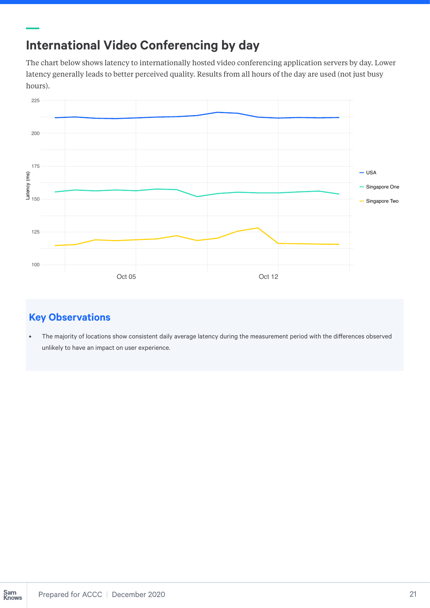## **International Video Conferencing by day**

The chart below shows latency to internationally hosted video conferencing application servers by day. Lower latency generally leads to better perceived quality. Results from all hours of the day are used (not just busy hours).



## **Key Observations**

• The majority of locations show consistent daily average latency during the measurement period with the differences observed unlikely to have an impact on user experience.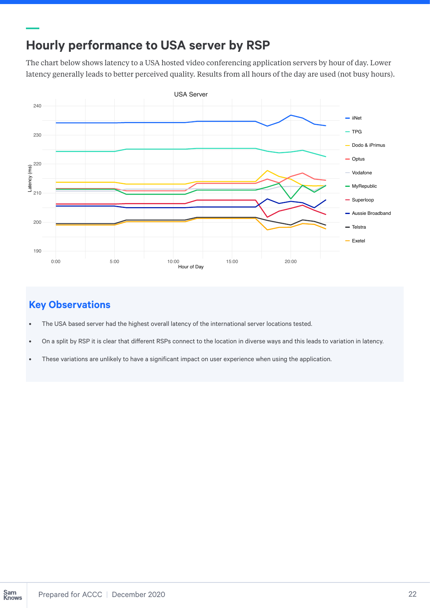## **Hourly performance to USA server by RSP**

The chart below shows latency to a USA hosted video conferencing application servers by hour of day. Lower latency generally leads to better perceived quality. Results from all hours of the day are used (not busy hours).



- The USA based server had the highest overall latency of the international server locations tested.
- On a split by RSP it is clear that different RSPs connect to the location in diverse ways and this leads to variation in latency.
- These variations are unlikely to have a significant impact on user experience when using the application.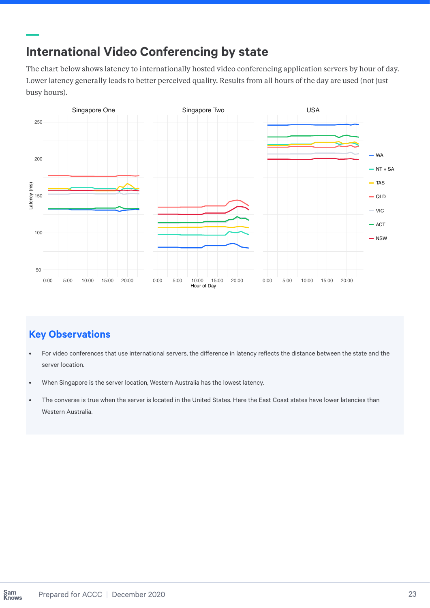## **International Video Conferencing by state**

The chart below shows latency to internationally hosted video conferencing application servers by hour of day. Lower latency generally leads to better perceived quality. Results from all hours of the day are used (not just busy hours).



- For video conferences that use international servers, the difference in latency reflects the distance between the state and the server location.
- When Singapore is the server location, Western Australia has the lowest latency.
- The converse is true when the server is located in the United States. Here the East Coast states have lower latencies than Western Australia.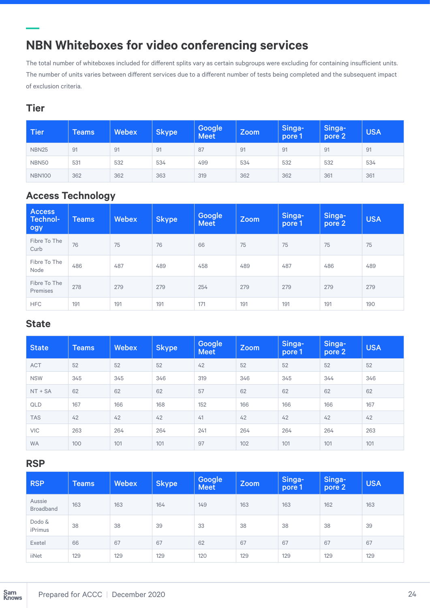## **NBN Whiteboxes for video conferencing services**

The total number of whiteboxes included for different splits vary as certain subgroups were excluding for containing insufficient units. The number of units varies between different services due to a different number of tests being completed and the subsequent impact of exclusion criteria.

#### **Tier**

| <b>Tier</b>       | <b>Teams</b> | <b>Webex</b> | <b>Skype</b> | Google<br><b>Meet</b> | Zoom | Singa-<br>pore 1 | Singa-<br>pore 2 | <b>USA</b> |
|-------------------|--------------|--------------|--------------|-----------------------|------|------------------|------------------|------------|
| <b>NBN25</b>      | 91           | 91           | 91           | 87                    | 91   | 91               | 91               | 91         |
| NBN <sub>50</sub> | 531          | 532          | 534          | 499                   | 534  | 532              | 532              | 534        |
| <b>NBN100</b>     | 362          | 362          | 363          | 319                   | 362  | 362              | 361              | 361        |

## **Access Technology**

| <b>Access</b><br>Technol-<br>ogy | <b>Teams</b> | <b>Webex</b> | <b>Skype</b> | Google<br><b>Meet</b> | <b>Zoom</b> | Singa-<br>pore 1 | Singa-<br>pore 2 | <b>USA</b> |
|----------------------------------|--------------|--------------|--------------|-----------------------|-------------|------------------|------------------|------------|
| Fibre To The<br>Curb             | 76           | 75           | 76           | 66                    | 75          | 75               | 75               | 75         |
| Fibre To The<br>Node             | 486          | 487          | 489          | 458                   | 489         | 487              | 486              | 489        |
| Fibre To The<br>Premises         | 278          | 279          | 279          | 254                   | 279         | 279              | 279              | 279        |
| <b>HFC</b>                       | 191          | 191          | 191          | 171                   | 191         | 191              | 191              | 190        |

### **State**

| <b>State</b> | <b>Teams</b> | Webex | <b>Skype</b> | Google<br><b>Meet</b> | Zoom | Singa-<br>pore 1 | Singa-<br>pore 2 | <b>USA</b> |
|--------------|--------------|-------|--------------|-----------------------|------|------------------|------------------|------------|
| <b>ACT</b>   | 52           | 52    | 52           | 42                    | 52   | 52               | 52               | 52         |
| <b>NSW</b>   | 345          | 345   | 346          | 319                   | 346  | 345              | 344              | 346        |
| $NT + SA$    | 62           | 62    | 62           | 57                    | 62   | 62               | 62               | 62         |
| QLD          | 167          | 166   | 168          | 152                   | 166  | 166              | 166              | 167        |
| <b>TAS</b>   | 42           | 42    | 42           | 41                    | 42   | 42               | 42               | 42         |
| <b>VIC</b>   | 263          | 264   | 264          | 241                   | 264  | 264              | 264              | 263        |
| <b>WA</b>    | 100          | 101   | 101          | 97                    | 102  | 101              | 101              | 101        |

#### **RSP**

| <b>RSP</b>                 | <b>Teams</b> | <b>Webex</b> | <b>Skype</b> | Google<br><b>Meet</b> | <b>Zoom</b> | Singa-<br>pore 1 | Singa-<br>pore 2 | <b>USA</b> |
|----------------------------|--------------|--------------|--------------|-----------------------|-------------|------------------|------------------|------------|
| Aussie<br><b>Broadband</b> | 163          | 163          | 164          | 149                   | 163         | 163              | 162              | 163        |
| Dodo &<br>iPrimus          | 38           | 38           | 39           | 33                    | 38          | 38               | 38               | 39         |
| Exetel                     | 66           | 67           | 67           | 62                    | 67          | 67               | 67               | 67         |
| iiNet                      | 129          | 129          | 129          | 120                   | 129         | 129              | 129              | 129        |